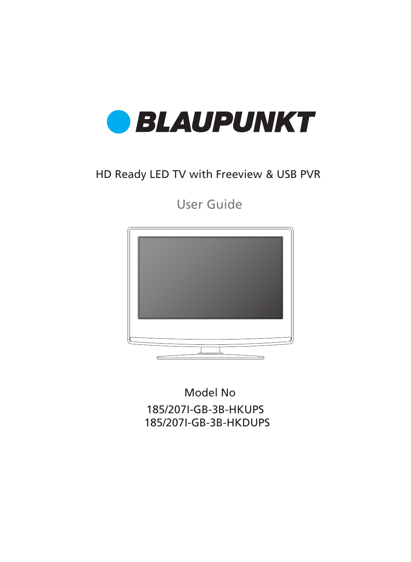

### HD Ready LED TV with Freeview & USB PVR

User Guide



185/207I-GB-3B-HKUPS Model No 185/207I-GB-3B-HKDUPS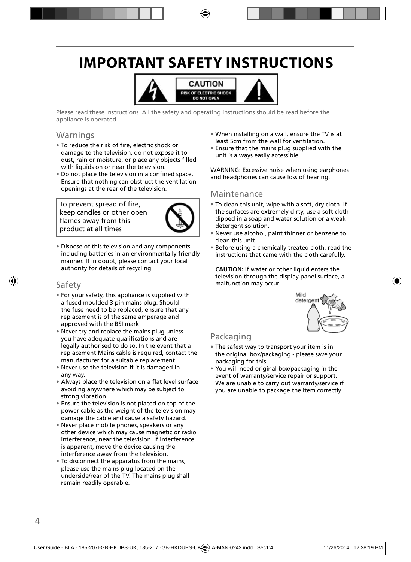# **IMPORTANT SAFETY INSTRUCTIONS**



Please read these instructions. All the safety and operating instructions should be read before the appliance is operated.

### **Warnings**

- To reduce the risk of fire, electric shock or damage to the television, do not expose it to dust, rain or moisture, or place any objects filled with liquids on or near the television.
- Do not place the television in a confined space. Ensure that nothing can obstruct the ventilation openings at the rear of the television.

To prevent spread of fire, keep candles or other open flames away from this product at all times



• Dispose of this television and any components including batteries in an environmentally friendly manner. If in doubt, please contact your local authority for details of recycling.

#### Safety

- For your safety, this appliance is supplied with a fused moulded 3 pin mains plug. Should the fuse need to be replaced, ensure that any replacement is of the same amperage and approved with the BSI mark.
- Never try and replace the mains plug unless you have adequate qualifications and are legally authorised to do so. In the event that a replacement Mains cable is required, contact the manufacturer for a suitable replacement.
- Never use the television if it is damaged in any way.
- Always place the television on a flat level surface avoiding anywhere which may be subject to strong vibration.
- Ensure the television is not placed on top of the power cable as the weight of the television may damage the cable and cause a safety hazard.
- Never place mobile phones, speakers or any other device which may cause magnetic or radio interference, near the television. If interference is apparent, move the device causing the interference away from the television.
- To disconnect the apparatus from the mains, please use the mains plug located on the underside/rear of the TV. The mains plug shall remain readily operable.
- When installing on a wall, ensure the TV is at least 5cm from the wall for ventilation.
- Ensure that the mains plug supplied with the unit is always easily accessible.

WARNING: Excessive noise when using earphones and headphones can cause loss of hearing.

#### Maintenance

- To clean this unit, wipe with a soft, dry cloth. If the surfaces are extremely dirty, use a soft cloth dipped in a soap and water solution or a weak detergent solution.
- Never use alcohol, paint thinner or benzene to clean this unit.
- Before using a chemically treated cloth, read the instructions that came with the cloth carefully.

**CAUTION:** If water or other liquid enters the television through the display panel surface, a malfunction may occur.



### Packaging

- The safest way to transport your item is in the original box/packaging - please save your packaging for this.
- You will need original box/packaging in the event of warranty/service repair or support. We are unable to carry out warranty/service if you are unable to package the item correctly.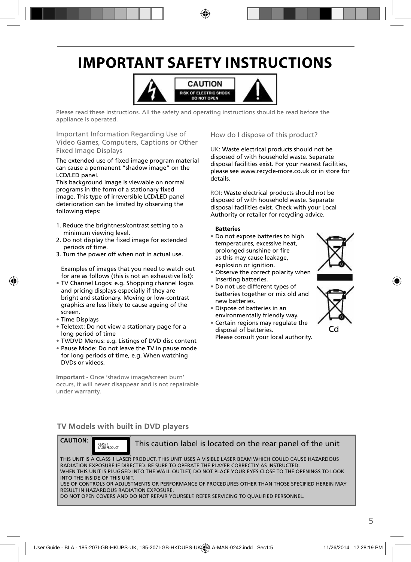# **IMPORTANT SAFETY INSTRUCTIONS**



Please read these instructions. All the safety and operating instructions should be read before the appliance is operated.

Important Information Regarding Use of Video Games, Computers, Captions or Other Fixed Image Displays

The extended use of fixed image program material can cause a permanent "shadow image" on the LCD/LED panel.

This background image is viewable on normal programs in the form of a stationary fixed image. This type of irreversible LCD/LED panel deterioration can be limited by observing the following steps:

- 1. Reduce the brightness/contrast setting to a minimum viewing level.
- 2. Do not display the fixed image for extended periods of time.
- 3. Turn the power off when not in actual use.

Examples of images that you need to watch out for are as follows (this is not an exhaustive list):

- TV Channel Logos: e.g. Shopping channel logos and pricing displays-especially if they are bright and stationary. Moving or low-contrast graphics are less likely to cause ageing of the screen.
- Time Displays
- Teletext: Do not view a stationary page for a long period of time
- TV/DVD Menus: e.g. Listings of DVD disc content
- Pause Mode: Do not leave the TV in pause mode for long periods of time, e.g. When watching DVDs or videos.

**Important** - Once 'shadow image/screen burn' occurs, it will never disappear and is not repairable under warranty.

How do I dispose of this product?

UK: Waste electrical products should not be disposed of with household waste. Separate disposal facilities exist. For your nearest facilities, please see www.recycle-more.co.uk or in store for details.

ROI: Waste electrical products should not be disposed of with household waste. Separate disposal facilities exist. Check with your Local Authority or retailer for recycling advice.

#### **Batteries**

- Do not expose batteries to high temperatures, excessive heat, prolonged sunshine or fire as this may cause leakage, explosion or ignition.
- Observe the correct polarity when inserting batteries.
- Do not use different types of batteries together or mix old and new batteries.
- Dispose of batteries in an environmentally friendly way.
- Certain regions may regulate the disposal of batteries. Please consult your local authority.





#### **TV Models with built in DVD players**



CLASS 1<br>LASER RROUGHT

This caution label is located on the rear panel of the unit

THIS UNIT IS A CLASS 1 LASER PRODUCT. THIS UNIT USES A VISIBLE LASER BEAM WHICH COULD CAUSE HAZARDOUS RADIATION EXPOSURE IF DIRECTED. BE SURE TO OPERATE THE PLAYER CORRECTLY AS INSTRUCTED. WHEN THIS UNIT IS PLUGGED INTO THE WALL OUTLET, DO NOT PLACE YOUR EYES CLOSE TO THE OPENINGS TO LOOK INTO THE INSIDE OF THIS UNIT. USE OF CONTROLS OR ADJUSTMENTS OR PERFORMANCE OF PROCEDURES OTHER THAN THOSE SPECIFIED HEREIN MAY RESULT IN HAZARDOUS RADIATION EXPOSURE.

DO NOT OPEN COVERS AND DO NOT REPAIR YOURSELF. REFER SERVICING TO QUALIFIED PERSONNEL.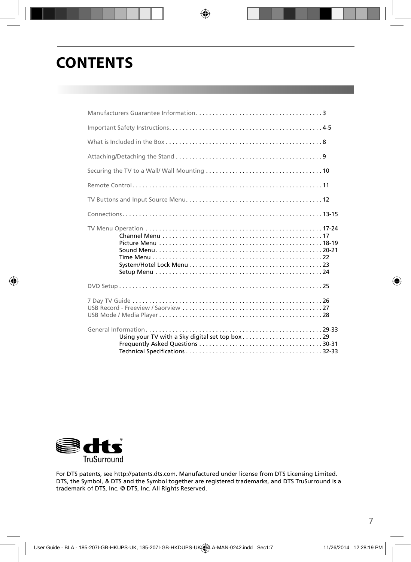# **CONTENTS**



For DTS patents, see http://patents.dts.com. Manufactured under license from DTS Licensing Limited. DTS, the Symbol, & DTS and the Symbol together are registered trademarks, and DTS TruSurround is a trademark of DTS, Inc. © DTS, Inc. All Rights Reserved.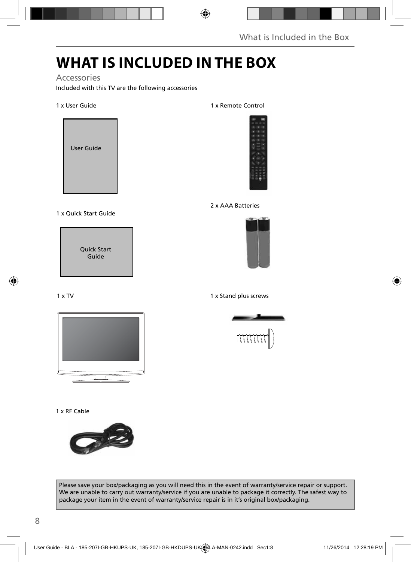# **WHAT IS INCLUDED IN THE BOX**

### Accessories

Included with this TV are the following accessories

#### 1 x User Guide



#### 1 x Quick Start Guide

Quick Start Guide

#### 1 x TV



#### 1 x RF Cable



#### Please save your box/packaging as you will need this in the event of warranty/service repair or support. We are unable to carry out warranty/service if you are unable to package it correctly. The safest way to package your item in the event of warranty/service repair is in it's original box/packaging.

#### 1 x Remote Control



#### 2 x AAA Batteries



#### 1 x Stand plus screws

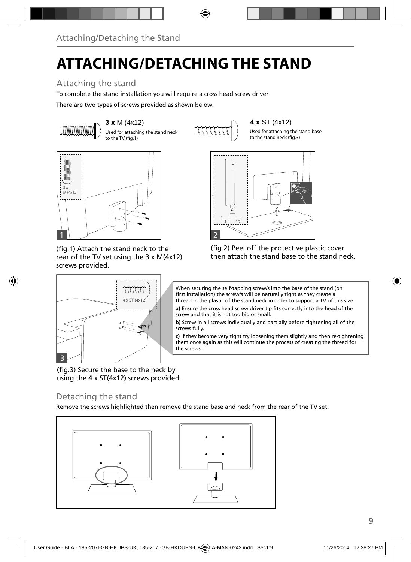# **ATTACHING/DETACHING THE STAND**

### Attaching the stand

To complete the stand installation you will require a cross head screw driver

There are two types of screws provided as shown below.



**3 x M (4x12) 4 x ST (4x12)**<br>Used for attaching the stand neck  $\begin{bmatrix} 1 & 1 & 1 & 1 \end{bmatrix}$  Used for attaching t Used for attaching the stand neck to the TV (fig.1)



Used for attaching the stand base to the stand neck  $(f_0, g_1)$ 



(fig.1) Attach the stand neck to the rear of the TV set using the 3 x M(4x12) screws provided.

 $4 \times ST(4 \times 12)$ 

mm



(fig.2) Peel off the protective plastic cover then attach the stand base to the stand neck.

When securing the self-tapping screw/s into the base of the stand (on first installation) the screw/s will be naturally tight as they create a thread in the plastic of the stand neck in order to support a TV of this size.

a) Ensure the cross head screw driver tip fits correctly into the head of the screw and that it is not too big or small.

**b)** Screw in all screws individually and partially before tightening all of the screws fully.

**c)** If they become very tight try loosening them slightly and then re-tightening them once again as this will continue the process of creating the thread for the screws.

(fig.3) Secure the base to the neck by using the 4 x ST(4x12) screws provided.

### Detaching the stand

3

Remove the screws highlighted then remove the stand base and neck from the rear of the TV set.

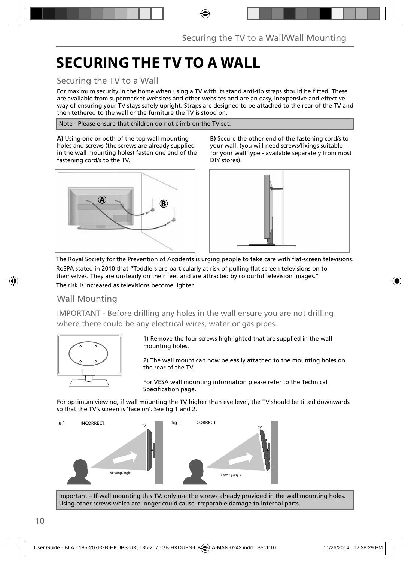# **SECURING THE TV TO A WALL**

### Securing the TV to a Wall

For maximum security in the home when using a TV with its stand anti-tip straps should be fitted. These are available from supermarket websites and other websites and are an easy, inexpensive and effective way of ensuring your TV stays safely upright. Straps are designed to be attached to the rear of the TV and then tethered to the wall or the furniture the TV is stood on.

Note - Please ensure that children do not climb on the TV set.

**A)** Using one or both of the top wall-mounting holes and screws (the screws are already supplied in the wall mounting holes) fasten one end of the fastening cord/s to the TV.



**B)** Secure the other end of the fastening cord/s to your wall. (you will need screws/fixings suitable for your wall type - available separately from most DIY stores).



The Royal Society for the Prevention of Accidents is urging people to take care with flat-screen televisions. RoSPA stated in 2010 that "Toddlers are particularly at risk of pulling flat-screen televisions on to themselves. They are unsteady on their feet and are attracted by colourful television images." The risk is increased as televisions become lighter.

### Wall Mounting

IMPORTANT - Before drilling any holes in the wall ensure you are not drilling where there could be any electrical wires, water or gas pipes.



1) Remove the four screws highlighted that are supplied in the wall mounting holes.

2) The wall mount can now be easily attached to the mounting holes on the rear of the TV.

For VESA wall mounting information please refer to the Technical Specification page.

For optimum viewing, if wall mounting the TV higher than eye level, the TV should be tilted downwards so that the TV's screen is 'face on'. See fig 1 and 2.



Important – If wall mounting this TV, only use the screws already provided in the wall mounting holes. Using other screws which are longer could cause irreparable damage to internal parts.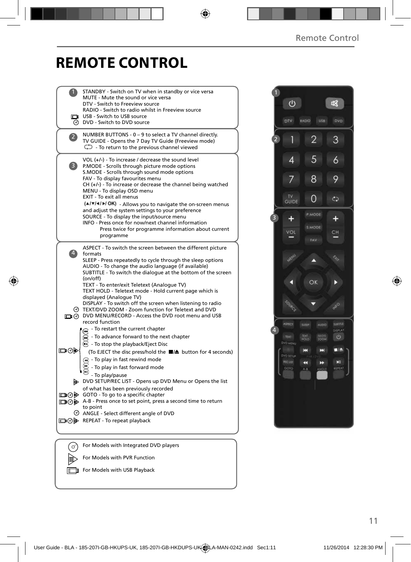### **REMOTE CONTROL**

|                | STANDBY - Switch on TV when in standby or vice versa<br>MUTE - Mute the sound or vice versa<br>DTV - Switch to Freeview source                                                                                                                                                                                                                                                                                                                                                                                                                                                                                |  |
|----------------|---------------------------------------------------------------------------------------------------------------------------------------------------------------------------------------------------------------------------------------------------------------------------------------------------------------------------------------------------------------------------------------------------------------------------------------------------------------------------------------------------------------------------------------------------------------------------------------------------------------|--|
|                | RADIO - Switch to radio whilst in Freeview source<br>USB - Switch to USB source<br>O DVD - Switch to DVD source                                                                                                                                                                                                                                                                                                                                                                                                                                                                                               |  |
| $\overline{2}$ | NUMBER BUTTONS - 0 - 9 to select a TV channel directly.<br>TV GUIDE - Opens the 7 Day TV Guide (Freeview mode)<br>$\bigcirc$ - To return to the previous channel viewed                                                                                                                                                                                                                                                                                                                                                                                                                                       |  |
| 3              | VOL $(+/-)$ - To increase / decrease the sound level<br>P.MODE - Scrolls through picture mode options<br>S.MODE - Scrolls through sound mode options<br>FAV - To display favourites menu<br>$CH (+/-)$ - To increase or decrease the channel being watched<br>MENU - To display OSD menu<br>EXIT - To exit all menus<br>(A/V/4/M/OK) - Allows you to navigate the on-screen menus<br>and adjust the system settings to your preference<br>SOURCE - To display the input/source menu<br>INFO - Press once for now/next channel information<br>Press twice for programme information about current<br>programme |  |
| $\overline{4}$ | ASPECT - To switch the screen between the different picture<br>formats<br>SLEEP - Press repeatedly to cycle through the sleep options<br>AUDIO - To change the audio language (if available)<br>SUBTITLE - To switch the dialogue at the bottom of the screen<br>(on/off)<br>TEXT - To enter/exit Teletext (Analogue TV)<br>TEXT HOLD - Teletext mode - Hold current page which is<br>displayed (Analogue TV)<br>DISPLAY - To switch off the screen when listening to radio<br>TEXT/DVD ZOOM - Zoom function for Teletext and DVD<br>O DVD MENU/RECORD - Access the DVD root menu and USB                     |  |
| ▭◉             | record function<br>To restart the current chapter<br>$\widetilde{\bullet}$ - To advance forward to the next chapter<br>$\textcircled{c}$ - To stop the playback/Eject Disc<br>(To EJECT the disc press/hold the ■▲ button for 4 seconds)<br>- To play in fast rewind mode<br>- To play in fast forward mode<br>- To play/pause                                                                                                                                                                                                                                                                                |  |
|                | DVD SETUP/REC LIST - Opens up DVD Menu or Opens the list<br>of what has been previously recorded<br>□ ⊙ iD GOTO - To go to a specific chapter<br>A-B - Press once to set point, press a second time to return<br>to point<br>© ANGLE - Select different angle of DVD<br>□⊙ D REPEAT - To repeat playback                                                                                                                                                                                                                                                                                                      |  |
|                |                                                                                                                                                                                                                                                                                                                                                                                                                                                                                                                                                                                                               |  |
| ර              | For Models with Integrated DVD players                                                                                                                                                                                                                                                                                                                                                                                                                                                                                                                                                                        |  |
|                | For Models with PVR Function                                                                                                                                                                                                                                                                                                                                                                                                                                                                                                                                                                                  |  |

For Models with USB Playback

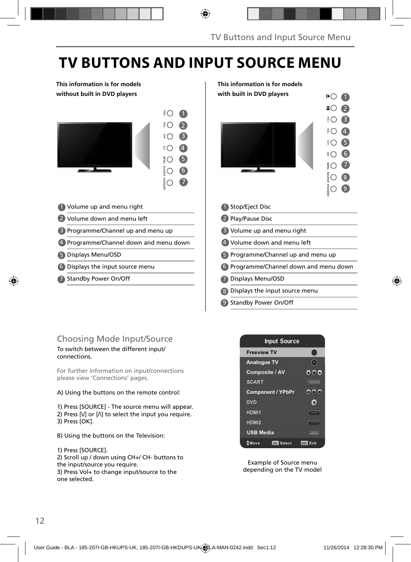# **TV BUTTONS AND INPUT SOURCE MENU**

#### **This information is for models without built in DVD players**



| 1 Volume up and menu right  |  |
|-----------------------------|--|
| 2 Volume down and menu left |  |

- 3 Programme/Channel up and menu up [3]
- 4 Programme/Channel down and menu down  $\vert$  (4
- Displays Menu/OSD 5 5
- Displays the input source menu 6 6
- 7 Standby Power On/Off **1996 1997**



### Choosing Mode Input/Source

#### To switch between the different input/ connections.

For further information on input/connections please view 'Connections' pages.

#### A) Using the buttons on the remote control:

1) Press [SOURCE] - The source menu will appear. 2) Press  $[V]$  or  $[\Lambda]$  to select the input you require. 3) Press [OK].

B) Using the buttons on the Television:

### 1) Press [SOURCE].

2) Scroll up / down using CH+/ CH- buttons to the input/source you require. 3) Press Vol+ to change input/source to the one selected.



Example of Source menu depending on the TV model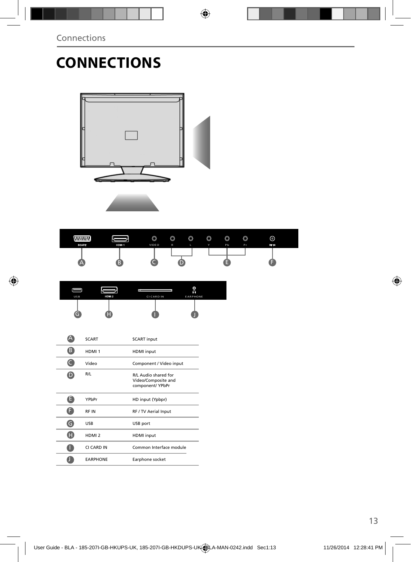# **CONNECTIONS**





|     |       | ь                 | O<br>Ω          |  |
|-----|-------|-------------------|-----------------|--|
| USB | HDM 2 | <b>CI CARD IN</b> | <b>EARPHONE</b> |  |
|     |       |                   |                 |  |

|   | <b>SCART</b>      | <b>SCART</b> input                                              |
|---|-------------------|-----------------------------------------------------------------|
| B | HDMI <sub>1</sub> | <b>HDMI</b> input                                               |
|   | Video             | Component / Video input                                         |
|   | R/L               | R/L Audio shared for<br>Video/Composite and<br>component/ YPbPr |
| E | YPbPr             | HD input (Ypbpr)                                                |
|   | <b>RFIN</b>       | RF / TV Aerial Input                                            |
| G | <b>USB</b>        | USB port                                                        |
| H | HDMI <sub>2</sub> | <b>HDMI</b> input                                               |
|   | CI CARD IN        | Common Interface module                                         |
|   | <b>EARPHONE</b>   | Earphone socket                                                 |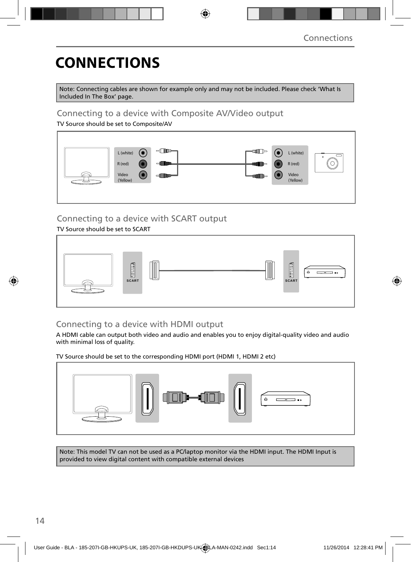# **CONNECTIONS**

Note: Connecting cables are shown for example only and may not be included. Please check 'What Is Included In The Box' page.

### Connecting to a device with Composite AV/Video output

TV Source should be set to Composite/AV



### Connecting to a device with SCART output

#### TV Source should be set to SCART



### Connecting to a device with HDMI output

A HDMI cable can output both video and audio and enables you to enjoy digital-quality video and audio with minimal loss of quality.

TV Source should be set to the corresponding HDMI port (HDMI 1, HDMI 2 etc)



Note: This model TV can not be used as a PC/laptop monitor via the HDMI input. The HDMI Input is provided to view digital content with compatible external devices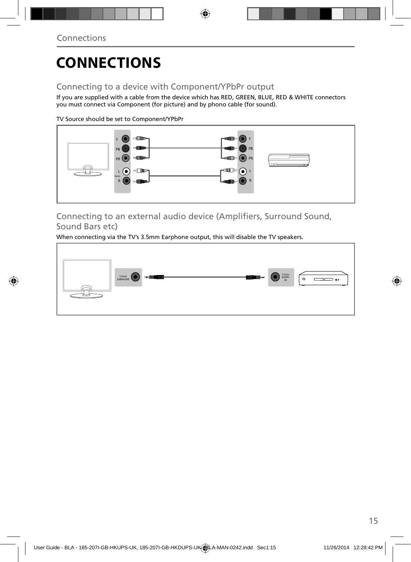# **CONNECTIONS**

### Connecting to a device with Component/YPbPr output

If you are supplied with a cable from the device which has RED, GREEN, BLUE, RED & WHITE connectors you must connect via Component (for picture) and by phono cable (for sound).

TV Source should be set to Component/YPbPr



Connecting to an external audio device (Amplifiers, Surround Sound, Sound Bars etc)

When connecting via the TV's 3.5mm Earphone output, this will disable the TV speakers.

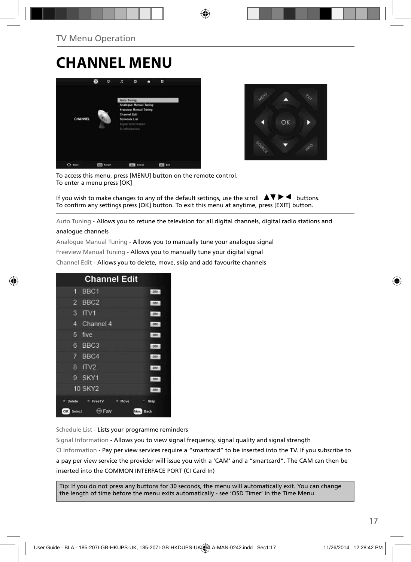### **CHANNEL MENU**





To access this menu, press [MENU] button on the remote control. To enter a menu press [OK]

If you wish to make changes to any of the default settings, use the scroll  $\Box \blacktriangledown \blacktriangleright \blacktriangleleft$  buttons. To confirm any settings press [OK] button. To exit this menu at anytime, press [EXIT] button.

Auto Tuning - Allows you to retune the television for all digital channels, digital radio stations and

#### analogue channels

Analogue Manual Tuning - Allows you to manually tune your analogue signal

Freeview Manual Tuning - Allows you to manually tune your digital signal

Channel Edit - Allows you to delete, move, skip and add favourite channels

|                | <b>Channel Edit</b> |      |              |
|----------------|---------------------|------|--------------|
| 9              | BBC <sub>1</sub>    |      | onv          |
| $\overline{2}$ | BBC <sub>2</sub>    |      | otv          |
| 3              | ITVI                |      | otv          |
| 4              | Channel 4           |      | otv          |
| 5              | five                |      | otv          |
| 6              | BBC <sub>3</sub>    |      | <b>DIV</b>   |
| 7              | BBC4                |      | onv          |
| R              | ITV <sub>2</sub>    |      | onv          |
| G              | SKY1                |      | onv          |
|                | <b>10 SKY2</b>      |      | OTV          |
| Delete         | <sup>#</sup> FreeTV | Move | Skip         |
| OK<br>Select   | Fav                 |      | Back<br>Menu |

Schedule List - Lists your programme reminders

Signal Information - Allows you to view signal frequency, signal quality and signal strength CI Information - Pay per view services require a "smartcard" to be inserted into the TV. If you subscribe to a pay per view service the provider will issue you with a 'CAM' and a "smartcard". The CAM can then be inserted into the COMMON INTERFACE PORT (CI Card In)

Tip: If you do not press any buttons for 30 seconds, the menu will automatically exit. You can change the length of time before the menu exits automatically - see 'OSD Timer' in the Time Menu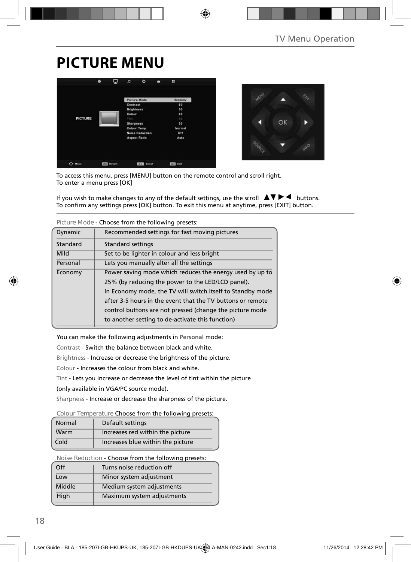# **PICTURE MENU**





To access this menu, press [MENU] button on the remote control and scroll right. To enter a menu press [OK]

If you wish to make changes to any of the default settings, use the scroll  $\blacktriangle \blacktriangledown \blacktriangleright \blacktriangleleft$  buttons. To confirm any settings press [OK] button. To exit this menu at anytime, press [EXIT] button.

|                                                      | CIDOSCII OIII GIC TOIIO MILA DI CSCCS.                     |  |  |
|------------------------------------------------------|------------------------------------------------------------|--|--|
| Dynamic                                              | Recommended settings for fast moving pictures              |  |  |
| Standard                                             | <b>Standard settings</b>                                   |  |  |
| Mild                                                 | Set to be lighter in colour and less bright                |  |  |
| Personal<br>Lets you manually alter all the settings |                                                            |  |  |
| Economy                                              | Power saving mode which reduces the energy used by up to   |  |  |
|                                                      | 25% (by reducing the power to the LED/LCD panel).          |  |  |
|                                                      | In Economy mode, the TV will switch itself to Standby mode |  |  |
|                                                      | after 3-5 hours in the event that the TV buttons or remote |  |  |
|                                                      | control buttons are not pressed (change the picture mode   |  |  |
|                                                      | to another setting to de-activate this function)           |  |  |

**Picture Mode** - Choose from the following presets:

You can make the following adjustments in **Personal** mode:

Contrast - Switch the balance between black and white.

Brightness - Increase or decrease the brightness of the picture.

Colour - Increases the colour from black and white.

Tint - Lets you increase or decrease the level of tint within the picture

(only available in VGA/PC source mode).

Sharpness - Increase or decrease the sharpness of the picture.

#### **Colour Temperature** Choose from the following presets:

| Normal | Default settings                  |
|--------|-----------------------------------|
| Warm   | Increases red within the picture  |
| Cold   | Increases blue within the picture |

**Noise Reduction** - Choose from the following presets:

| $\Omega$ | Turns noise reduction off  |
|----------|----------------------------|
| Low      | Minor system adjustment    |
| Middle   | Medium system adjustments  |
| High     | Maximum system adjustments |
|          |                            |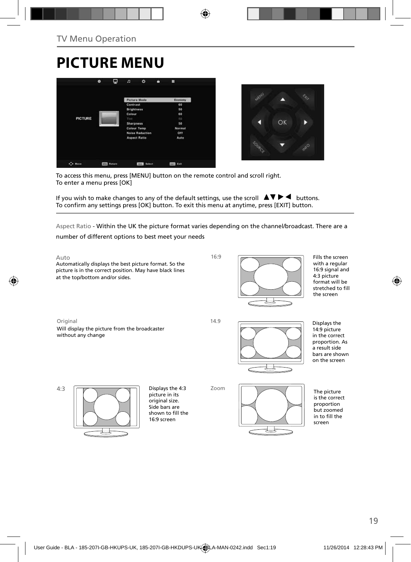# **PICTURE MENU**





To access this menu, press [MENU] button on the remote control and scroll right. To enter a menu press [OK]

If you wish to make changes to any of the default settings, use the scroll  $\Box \blacktriangledown \blacktriangleright \blacktriangleleft$  buttons. To confirm any settings press [OK] button. To exit this menu at anytime, press [EXIT] button.

Aspect Ratio - Within the UK the picture format varies depending on the channel/broadcast. There are a

number of different options to best meet your needs

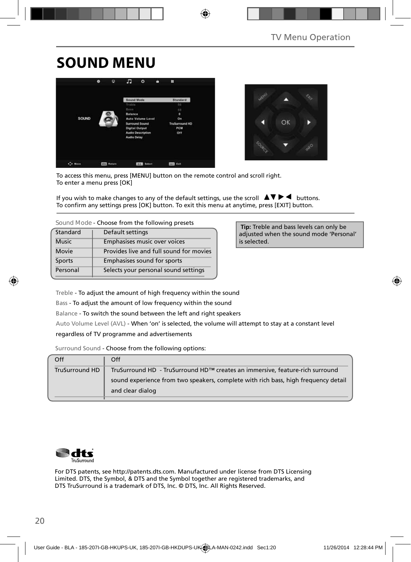# **SOUND MENU**





To access this menu, press [MENU] button on the remote control and scroll right. To enter a menu press [OK]

If you wish to make changes to any of the default settings, use the scroll  $\blacktriangle V \blacktriangleright \blacktriangleleft$  buttons. To confirm any settings press [OK] button. To exit this menu at anytime, press [EXIT] button.

**Sound Mode** - Choose from the following presets

| Standard     | Default settings                        |
|--------------|-----------------------------------------|
| <b>Music</b> | Emphasises music over voices            |
| Movie        | Provides live and full sound for movies |
| Sports       | Emphasises sound for sports             |
| Personal     | Selects your personal sound settings    |

 **Tip:** Treble and bass levels can only be adjusted when the sound mode 'Personal' is selected.

Treble - To adjust the amount of high frequency within the sound

Bass - To adjust the amount of low frequency within the sound

Balance - To switch the sound between the left and right speakers

Auto Volume Level (AVL) - When 'on' is selected, the volume will attempt to stay at a constant level

regardless of TV programme and advertisements

Surround Sound - Choose from the following options:

| Off            | Off                                                                                                    |  |
|----------------|--------------------------------------------------------------------------------------------------------|--|
| TruSurround HD | TruSurround HD - TruSurround HD™ creates an immersive, feature-rich surround                           |  |
|                | sound experience from two speakers, complete with rich bass, high frequency detail<br>and clear dialog |  |
|                |                                                                                                        |  |



For DTS patents, see http://patents.dts.com. Manufactured under license from DTS Licensing Limited. DTS, the Symbol, & DTS and the Symbol together are registered trademarks, and DTS TruSurround is a trademark of DTS, Inc. © DTS, Inc. All Rights Reserved.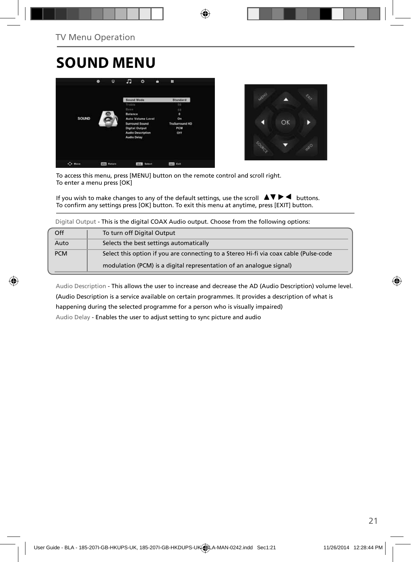# **SOUND MENU**





To access this menu, press [MENU] button on the remote control and scroll right. To enter a menu press [OK]

If you wish to make changes to any of the default settings, use the scroll  $\Box \blacktriangledown \blacktriangleright \blacktriangleleft$  buttons. To confirm any settings press [OK] button. To exit this menu at anytime, press [EXIT] button.

Digital Output - This is the digital COAX Audio output. Choose from the following options:

| Off        | To turn off Digital Output                                                            |
|------------|---------------------------------------------------------------------------------------|
| Auto       | Selects the best settings automatically                                               |
| <b>PCM</b> | Select this option if you are connecting to a Stereo Hi-fi via coax cable (Pulse-code |
|            | modulation (PCM) is a digital representation of an analogue signal)                   |

Audio Description - This allows the user to increase and decrease the AD (Audio Description) volume level.

(Audio Description is a service available on certain programmes. It provides a description of what is

happening during the selected programme for a person who is visually impaired)

Audio Delay - Enables the user to adjust setting to sync picture and audio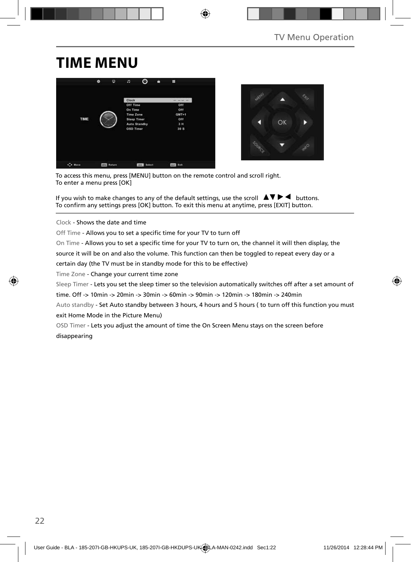## **TIME MENU**





To access this menu, press [MENU] button on the remote control and scroll right. To enter a menu press [OK]

If you wish to make changes to any of the default settings, use the scroll  $\blacktriangle \blacktriangledown \blacktriangleright \blacktriangleleft$  buttons. To confirm any settings press [OK] button. To exit this menu at anytime, press [EXIT] button.

Clock - Shows the date and time

Off Time - Allows you to set a specific time for your TV to turn off

On Time - Allows you to set a specific time for your TV to turn on, the channel it will then display, the

source it will be on and also the volume. This function can then be toggled to repeat every day or a

certain day (the TV must be in standby mode for this to be effective)

Time Zone - Change your current time zone

Sleep Timer - Lets you set the sleep timer so the television automatically switches off after a set amount of

time. Off -> 10min -> 20min -> 30min -> 60min -> 90min -> 120min -> 180min -> 240min

Auto standby - Set Auto standby between 3 hours, 4 hours and 5 hours ( to turn off this function you must exit Home Mode in the Picture Menu)

OSD Timer - Lets you adjust the amount of time the On Screen Menu stays on the screen before disappearing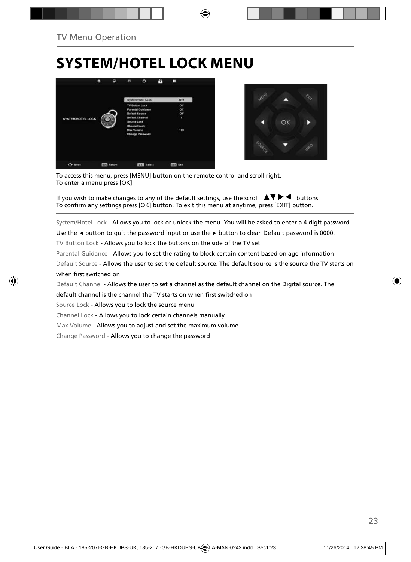# **SYSTEM/HOTEL LOCK MENU**





To access this menu, press [MENU] button on the remote control and scroll right. To enter a menu press [OK]

If you wish to make changes to any of the default settings, use the scroll  $\blacktriangle \blacktriangledown \blacktriangleright \blacktriangleleft$  buttons. To confirm any settings press [OK] button. To exit this menu at anytime, press [EXIT] button.

System/Hotel Lock - Allows you to lock or unlock the menu. You will be asked to enter a 4 digit password

Use the **◄** button to quit the password input or use the **►** button to clear. Default password is 0000.

TV Button Lock - Allows you to lock the buttons on the side of the TV set

Parental Guidance - Allows you to set the rating to block certain content based on age information

Default Source - Allows the user to set the default source. The default source is the source the TV starts on when first switched on

Default Channel - Allows the user to set a channel as the default channel on the Digital source. The

default channel is the channel the TV starts on when first switched on

Source Lock - Allows you to lock the source menu

Channel Lock - Allows you to lock certain channels manually

Max Volume - Allows you to adjust and set the maximum volume

Change Password - Allows you to change the password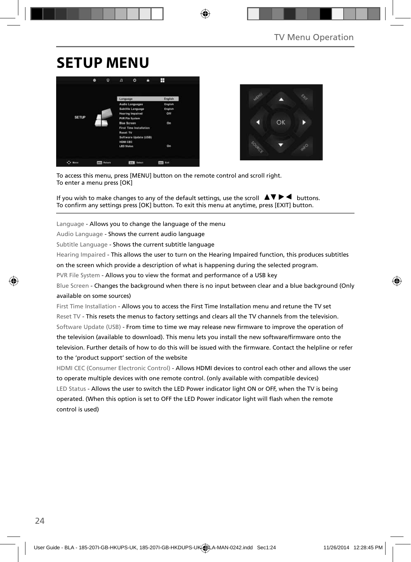### **SETUP MENU**





To access this menu, press [MENU] button on the remote control and scroll right. To enter a menu press [OK]

If you wish to make changes to any of the default settings, use the scroll  $\Box \blacktriangledown \blacktriangleright \blacktriangleleft$  buttons. To confirm any settings press [OK] button. To exit this menu at anytime, press [EXIT] button.

Language - Allows you to change the language of the menu

Audio Language - Shows the current audio language

Subtitle Language - Shows the current subtitle language

Hearing Impaired - This allows the user to turn on the Hearing Impaired function, this produces subtitles

on the screen which provide a description of what is happening during the selected program.

PVR File System - Allows you to view the format and performance of a USB key

Blue Screen - Changes the background when there is no input between clear and a blue background (Only available on some sources)

First Time Installation - Allows you to access the First Time Installation menu and retune the TV set Reset TV - This resets the menus to factory settings and clears all the TV channels from the television. Software Update (USB) - From time to time we may release new firmware to improve the operation of the television (available to download). This menu lets you install the new software/firmware onto the television. Further details of how to do this will be issued with the firmware. Contact the helpline or refer to the 'product support' section of the website

HDMI CEC (Consumer Electronic Control) - Allows HDMI devices to control each other and allows the user to operate multiple devices with one remote control. (only available with compatible devices) LED Status - Allows the user to switch the LED Power indicator light ON or OFF, when the TV is being operated. (When this option is set to OFF the LED Power indicator light will flash when the remote control is used)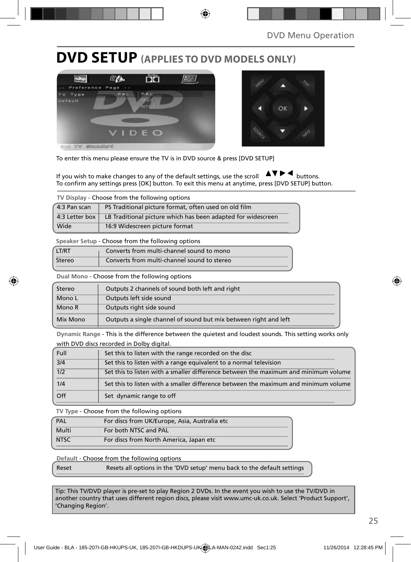### **DVD SETUP (APPLIES TO DVD MODELS ONLY)**





To enter this menu please ensure the TV is in DVD source & press [DVD SETUP]

If you wish to make changes to any of the default settings, use the scroll  $\Delta \nabla \blacktriangleright$   $\blacktriangleleft$  buttons. To confirm any settings press [OK] button. To exit this menu at anytime, press [DVD SETUP] button.

| TV Display - Choose from the following options |                                                              |  |  |
|------------------------------------------------|--------------------------------------------------------------|--|--|
| 4:3 Pan scan                                   | PS Traditional picture format, often used on old film        |  |  |
| 4:3 Letter box                                 | LB Traditional picture which has been adapted for widescreen |  |  |
| Wide                                           | 16:9 Widescreen picture format                               |  |  |

**Speaker Setup** - Choose from the following options

| LT/RT  | Converts from multi-channel sound to mono   |
|--------|---------------------------------------------|
| Stereo | Converts from multi-channel sound to stereo |

**Dual Mono** - Choose from the following options

| Stereo   | Outputs 2 channels of sound both left and right                  |  |  |
|----------|------------------------------------------------------------------|--|--|
| Mono L   | Outputs left side sound                                          |  |  |
| Mono R   | Outputs right side sound                                         |  |  |
| Mix Mono | Outputs a single channel of sound but mix between right and left |  |  |

**Dynamic Range** - This is the difference between the quietest and loudest sounds. This setting works only with DVD discs recorded in Dolby digital.

| Full | Set this to listen with the range recorded on the disc                              |
|------|-------------------------------------------------------------------------------------|
| 3/4  | Set this to listen with a range equivalent to a normal television                   |
| 1/2  | Set this to listen with a smaller difference between the maximum and minimum volume |
| 1/4  | Set this to listen with a smaller difference between the maximum and minimum volume |
| Off  | Set dynamic range to off                                                            |

**TV Type** - Choose from the following options

| PAL         | For discs from UK/Europe, Asia, Australia etc |
|-------------|-----------------------------------------------|
| Multi       | For both NTSC and PAL                         |
| <b>NTSC</b> | For discs from North America, Japan etc       |

**Default** - Choose from the following options

Reset Resets all options in the 'DVD setup' menu back to the default settings

Tip: This TV/DVD player is pre-set to play Region 2 DVDs. In the event you wish to use the TV/DVD in another country that uses different region discs, please visit www.umc-uk.co.uk. Select 'Product Support', 'Changing Region'.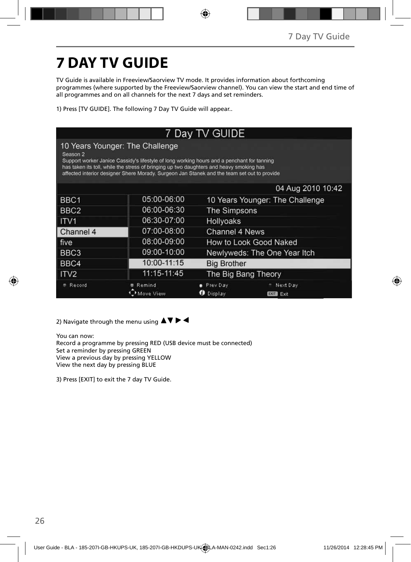# **7 DAY TV GUIDE**

TV Guide is available in Freeview/Saorview TV mode. It provides information about forthcoming programmes (where supported by the Freeview/Saorview channel). You can view the start and end time of all programmes and on all channels for the next 7 days and set reminders.

1) Press [TV GUIDE]. The following 7 Day TV Guide will appear..

| 7 Day TV GUIDE                                                                                                                                                                                                                                                                                                                                 |                     |                          |                                 |  |  |
|------------------------------------------------------------------------------------------------------------------------------------------------------------------------------------------------------------------------------------------------------------------------------------------------------------------------------------------------|---------------------|--------------------------|---------------------------------|--|--|
| 10 Years Younger: The Challenge<br>Season <sub>2</sub><br>Support worker Janice Cassidy's lifestyle of long working hours and a penchant for tanning<br>has taken its toll, while the stress of bringing up two daughters and heavy smoking has<br>affected interior designer Shere Morady. Surgeon Jan Stanek and the team set out to provide |                     |                          |                                 |  |  |
| 04 Aug 2010 10:42                                                                                                                                                                                                                                                                                                                              |                     |                          |                                 |  |  |
| BBC <sub>1</sub>                                                                                                                                                                                                                                                                                                                               | 05:00-06:00         |                          | 10 Years Younger: The Challenge |  |  |
| BBC <sub>2</sub>                                                                                                                                                                                                                                                                                                                               | 06:00-06:30         | The Simpsons             |                                 |  |  |
| ITV <sub>1</sub>                                                                                                                                                                                                                                                                                                                               | 06:30-07:00         | Hollyoaks                |                                 |  |  |
| Channel 4                                                                                                                                                                                                                                                                                                                                      | 07:00-08:00         | Channel 4 News           |                                 |  |  |
| five                                                                                                                                                                                                                                                                                                                                           | 08:00-09:00         |                          | How to Look Good Naked          |  |  |
| BBC3                                                                                                                                                                                                                                                                                                                                           | 09:00-10:00         |                          | Newlyweds: The One Year Itch    |  |  |
| BBC4                                                                                                                                                                                                                                                                                                                                           | 10:00-11:15         |                          | <b>Big Brother</b>              |  |  |
| ITV <sub>2</sub>                                                                                                                                                                                                                                                                                                                               | 11:15-11:45         |                          | The Big Bang Theory             |  |  |
| Record                                                                                                                                                                                                                                                                                                                                         | Remind<br>Move View | Prev Day<br>Display<br>ø | Next Day<br>Exit<br><b>EXIT</b> |  |  |

2) Navigate through the menu using  $\blacktriangle \blacktriangledown \blacktriangleright \blacktriangleleft$ 

You can now: Record a programme by pressing RED (USB device must be connected) Set a reminder by pressing GREEN View a previous day by pressing YELLOW View the next day by pressing BLUE

3) Press [EXIT] to exit the 7 day TV Guide.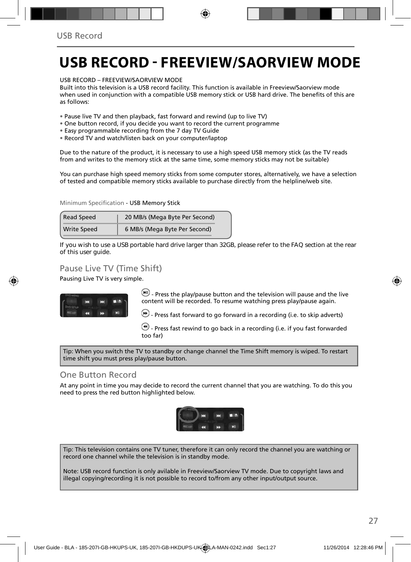### **USB RECORD - FREEVIEW/SAORVIEW MODE**

USB RECORD – FREEVIEW/SAORVIEW MODE

Built into this television is a USB record facility. This function is available in Freeview/Saorview mode when used in conjunction with a compatible USB memory stick or USB hard drive. The benefits of this are as follows:

• Pause live TV and then playback, fast forward and rewind (up to live TV)

- One button record, if you decide you want to record the current programme
- Easy programmable recording from the 7 day TV Guide
- Record TV and watch/listen back on your computer/laptop

Due to the nature of the product, it is necessary to use a high speed USB memory stick (as the TV reads from and writes to the memory stick at the same time, some memory sticks may not be suitable)

You can purchase high speed memory sticks from some computer stores, alternatively, we have a selection of tested and compatible memory sticks available to purchase directly from the helpline/web site.

Minimum Specification - USB Memory Stick

| <b>Read Speed</b>  | 20 MB/s (Mega Byte Per Second) |  |
|--------------------|--------------------------------|--|
| <b>Write Speed</b> | 6 MB/s (Mega Byte Per Second)  |  |

**If you wish to use a USB portable hard drive larger than 32GB, please refer to the FAQ section at the rear of this user guide.**

### Pause Live TV (Time Shift)

Pausing Live TV is very simple.



 $\left(\blacksquare\right)$  - Press the play/pause button and the television will pause and the live content will be recorded. To resume watching press play/pause again.

- Press fast forward to go forward in a recording (i.e. to skip adverts)

 $\bigcirc$  - Press fast rewind to go back in a recording (i.e. if you fast forwarded too far)

Tip: When you switch the TV to standby or change channel the Time Shift memory is wiped. To restart time shift you must press play/pause button.

#### One Button Record

At any point in time you may decide to record the current channel that you are watching. To do this you need to press the red button highlighted below.



Tip: This television contains one TV tuner, therefore it can only record the channel you are watching or record one channel while the television is in standby mode.

Note: USB record function is only avilable in Freeview/Saorview TV mode. Due to copyright laws and illegal copying/recording it is not possible to record to/from any other input/output source.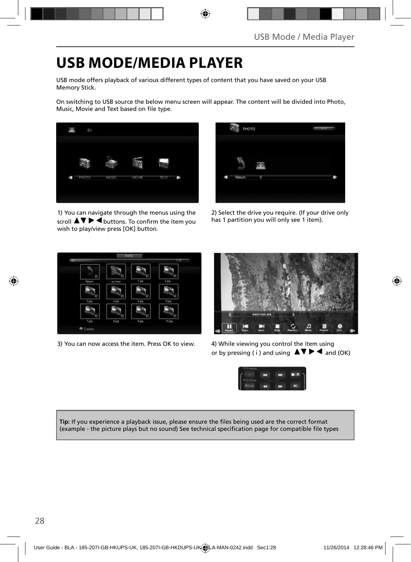### **USB MODE/MEDIA PLAYER**

USB mode offers playback of various different types of content that you have saved on your USB Memory Stick.

On switching to USB source the below menu screen will appear. The content will be divided into Photo, Music, Movie and Text based on file type.



1) You can navigate through the menus using the scroll  $\blacktriangle \blacktriangledown \blacktriangleright \blacktriangleleft$  buttons. To confirm the item you wish to play/view press [OK] button.

| PHOTO  |   | m |
|--------|---|---|
| Return | C |   |

2) Select the drive you require. (If your drive only has 1 partition you will only see 1 item).



3) You can now access the item. Press OK to view. 4) While viewing you control the item using



or by pressing ( i ) and using  $\Delta \nabla \blacktriangleright$   $\blacktriangle$  and (OK)



Tip: If you experience a playback issue, please ensure the files being used are the correct format (example - the picture plays but no sound) See technical specification page for compatible file types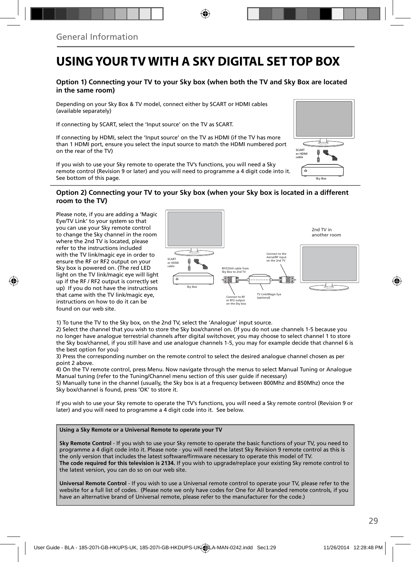### **USING YOUR TV WITH A SKY DIGITAL SET TOP BOX**

#### **Option 1) Connecting your TV to your Sky box (when both the TV and Sky Box are located in the same room)**

Depending on your Sky Box & TV model, connect either by SCART or HDMI cables (available separately)

If connecting by SCART, select the 'Input source' on the TV as SCART.

If connecting by HDMI, select the 'Input source' on the TV as HDMI (if the TV has more than 1 HDMI port, ensure you select the input source to match the HDMI numbered port on the rear of the TV)

If you wish to use your Sky remote to operate the TV's functions, you will need a Sky remote control (Revision 9 or later) and you will need to programme a 4 digit code into it. See bottom of this page.

# Sky Bo SCART or HDMI cable

#### **Option 2) Connecting your TV to your Sky box (when your Sky box is located in a different room to the TV)**

Please note, if you are adding a 'Magic Eye/TV Link' to your system so that you can use your Sky remote control to change the Sky channel in the room where the 2nd TV is located, please refer to the instructions included with the TV link/magic eye in order to ensure the RF or RF2 output on your Sky box is powered on. (The red LED light on the TV link/magic eye will light up if the RF / RF2 output is correctly set up) If you do not have the instructions that came with the TV link/magic eye, instructions on how to do it can be found on our web site.



1) To tune the TV to the Sky box, on the 2nd TV, select the 'Analogue' input source.

2) Select the channel that you wish to store the Sky box/channel on. (If you do not use channels 1-5 because you no longer have analogue terrestrial channels after digital switchover, you may choose to select channel 1 to store the Sky box/channel, if you still have and use analogue channels 1-5, you may for example decide that channel 6 is the best option for you)

3) Press the corresponding number on the remote control to select the desired analogue channel chosen as per point 2 above.

4) On the TV remote control, press Menu. Now navigate through the menus to select Manual Tuning or Analogue Manual tuning (refer to the Tuning/Channel menu section of this user guide if necessary)

5) Manually tune in the channel (usually, the Sky box is at a frequency between 800Mhz and 850Mhz) once the Sky box/channel is found, press 'OK' to store it.

If you wish to use your Sky remote to operate the TV's functions, you will need a Sky remote control (Revision 9 or later) and you will need to programme a 4 digit code into it. See below.

#### **Using a Sky Remote or a Universal Remote to operate your TV**

**Sky Remote Control** - If you wish to use your Sky remote to operate the basic functions of your TV, you need to programme a 4 digit code into it. Please note - you will need the latest Sky Revision 9 remote control as this is the only version that includes the latest software/firmware necessary to operate this model of TV. **The code required for this television is 2134.** If you wish to upgrade/replace your existing Sky remote control to the latest version, you can do so on our web site.

**Universal Remote Control** - If you wish to use a Universal remote control to operate your TV, please refer to the website for a full list of codes. (Please note we only have codes for One for All branded remote controls, if you have an alternative brand of Universal remote, please refer to the manufacturer for the code.)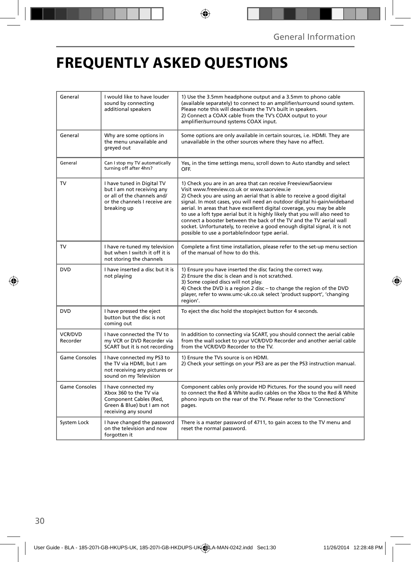## **FREQUENTLY ASKED QUESTIONS**

| General                    | I would like to have louder<br>sound by connecting<br>additional speakers                                                               | 1) Use the 3.5mm headphone output and a 3.5mm to phono cable<br>(available separately) to connect to an amplifier/surround sound system.<br>Please note this will deactivate the TV's built in speakers.<br>2) Connect a COAX cable from the TV's COAX output to your<br>amplifier/surround systems COAX input.                                                                                                                                                                                                                                                                                                                      |  |
|----------------------------|-----------------------------------------------------------------------------------------------------------------------------------------|--------------------------------------------------------------------------------------------------------------------------------------------------------------------------------------------------------------------------------------------------------------------------------------------------------------------------------------------------------------------------------------------------------------------------------------------------------------------------------------------------------------------------------------------------------------------------------------------------------------------------------------|--|
| General                    | Why are some options in<br>the menu unavailable and<br>greyed out                                                                       | Some options are only available in certain sources, i.e. HDMI. They are<br>unavailable in the other sources where they have no affect.                                                                                                                                                                                                                                                                                                                                                                                                                                                                                               |  |
| General                    | Can I stop my TV automatically<br>turning off after 4hrs?                                                                               | Yes, in the time settings menu, scroll down to Auto standby and select<br>OFF.                                                                                                                                                                                                                                                                                                                                                                                                                                                                                                                                                       |  |
| TV                         | I have tuned in Digital TV<br>but I am not receiving any<br>or all of the channels and/<br>or the channels I receive are<br>breaking up | 1) Check you are in an area that can receive Freeview/Saorview<br>Visit www.freeview.co.uk or www.saorview.ie<br>2) Check you are using an aerial that is able to receive a good digital<br>signal. In most cases, you will need an outdoor digital hi-gain/wideband<br>aerial. In areas that have excellent digital coverage, you may be able<br>to use a loft type aerial but it is highly likely that you will also need to<br>connect a booster between the back of the TV and the TV aerial wall<br>socket. Unfortunately, to receive a good enough digital signal, it is not<br>possible to use a portable/indoor type aerial. |  |
| TV                         | I have re-tuned my television<br>but when I switch it off it is<br>not storing the channels                                             | Complete a first time installation, please refer to the set-up menu section<br>of the manual of how to do this.                                                                                                                                                                                                                                                                                                                                                                                                                                                                                                                      |  |
| <b>DVD</b>                 | I have inserted a disc but it is<br>not playing                                                                                         | 1) Ensure you have inserted the disc facing the correct way.<br>2) Ensure the disc is clean and is not scratched.<br>3) Some copied discs will not play.<br>4) Check the DVD is a region 2 disc - to change the region of the DVD<br>player, refer to www.umc-uk.co.uk select 'product support', 'changing<br>region'.                                                                                                                                                                                                                                                                                                               |  |
| <b>DVD</b>                 | I have pressed the eject<br>button but the disc is not<br>coming out                                                                    | To eject the disc hold the stop/eject button for 4 seconds.                                                                                                                                                                                                                                                                                                                                                                                                                                                                                                                                                                          |  |
| <b>VCR/DVD</b><br>Recorder | I have connected the TV to<br>my VCR or DVD Recorder via<br>SCART but it is not recording                                               | In addition to connecting via SCART, you should connect the aerial cable<br>from the wall socket to your VCR/DVD Recorder and another aerial cable<br>from the VCR/DVD Recorder to the TV.                                                                                                                                                                                                                                                                                                                                                                                                                                           |  |
| <b>Game Consoles</b>       | I have connected my PS3 to<br>the TV via HDMI, but I am<br>not receiving any pictures or<br>sound on my Television                      | 1) Ensure the TVs source is on HDMI.<br>2) Check your settings on your PS3 are as per the PS3 instruction manual.                                                                                                                                                                                                                                                                                                                                                                                                                                                                                                                    |  |
| <b>Game Consoles</b>       | I have connected my<br>Xbox 360 to the TV via<br>Component Cables (Red,<br>Green & Blue) but I am not<br>receiving any sound            | Component cables only provide HD Pictures. For the sound you will need<br>to connect the Red & White audio cables on the Xbox to the Red & White<br>phono inputs on the rear of the TV. Please refer to the 'Connections'<br>pages.                                                                                                                                                                                                                                                                                                                                                                                                  |  |
| System Lock                | I have changed the password<br>on the television and now<br>forgotten it                                                                | There is a master password of 4711, to gain access to the TV menu and<br>reset the normal password.                                                                                                                                                                                                                                                                                                                                                                                                                                                                                                                                  |  |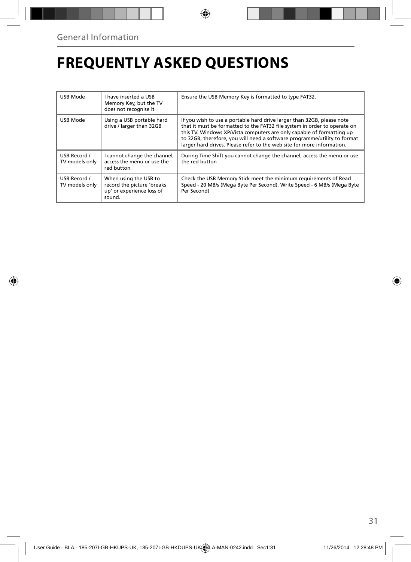# **FREQUENTLY ASKED QUESTIONS**

| USB Mode                       | I have inserted a USB<br>Memory Key, but the TV<br>does not recognise it                   | Ensure the USB Memory Key is formatted to type FAT32.                                                                                                                                                                                                                                                                                                                              |
|--------------------------------|--------------------------------------------------------------------------------------------|------------------------------------------------------------------------------------------------------------------------------------------------------------------------------------------------------------------------------------------------------------------------------------------------------------------------------------------------------------------------------------|
| USB Mode                       | Using a USB portable hard<br>drive / larger than 32GB                                      | If you wish to use a portable hard drive larger than 32GB, please note<br>that it must be formatted to the FAT32 file system in order to operate on<br>this TV. Windows XP/Vista computers are only capable of formatting up<br>to 32GB, therefore, you will need a software programme/utility to format<br>larger hard drives. Please refer to the web site for more information. |
| USB Record /<br>TV models only | I cannot change the channel,<br>access the menu or use the<br>red button                   | During Time Shift you cannot change the channel, access the menu or use<br>the red button                                                                                                                                                                                                                                                                                          |
| USB Record /<br>TV models only | When using the USB to<br>record the picture 'breaks<br>up' or experience loss of<br>sound. | Check the USB Memory Stick meet the minimum requirements of Read<br>Speed - 20 MB/s (Mega Byte Per Second), Write Speed - 6 MB/s (Mega Byte<br>Per Second)                                                                                                                                                                                                                         |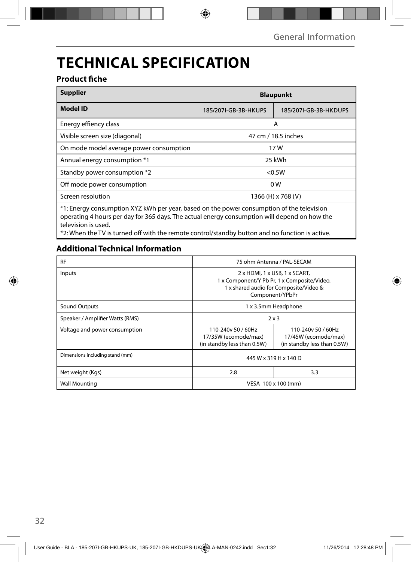# **TECHNICAL SPECIFICATION**

### **Product fiche**

| <b>Supplier</b>                                                                           | <b>Blaupunkt</b>    |                       |  |
|-------------------------------------------------------------------------------------------|---------------------|-----------------------|--|
| <b>Model ID</b><br>185/207I-GB-3B-HKUPS                                                   |                     | 185/207I-GB-3B-HKDUPS |  |
| Energy effiency class                                                                     | A                   |                       |  |
| Visible screen size (diagonal)                                                            | 47 cm / 18.5 inches |                       |  |
| On mode model average power consumption                                                   | 17W                 |                       |  |
| Annual energy consumption *1                                                              | 25 kWh              |                       |  |
| Standby power consumption *2                                                              | < 0.5W              |                       |  |
| Off mode power consumption                                                                | 0 <sub>W</sub>      |                       |  |
| Screen resolution                                                                         | 1366 (H) x 768 (V)  |                       |  |
| *1: Energy consumption XYZ kWh per year, based on the power consumption of the television |                     |                       |  |

\*1: Energy consumption XYZ kWh per year, based on the power consumption of the television operating 4 hours per day for 365 days. The actual energy consumption will depend on how the television is used.

\*2: When the TV is turned off with the remote control/standby button and no function is active.

### **Additional Technical Information**

| <b>RF</b>                       | 75 ohm Antenna / PAL-SECAM                                                                                                                             |  |  |
|---------------------------------|--------------------------------------------------------------------------------------------------------------------------------------------------------|--|--|
| Inputs                          | 2 x HDMI, 1 x USB, 1 x SCART,<br>1 x Component/Y Pb Pr, 1 x Composite/Video,<br>1 x shared audio for Composite/Video &<br>Component/YPbPr              |  |  |
| <b>Sound Outputs</b>            | 1 x 3.5mm Headphone                                                                                                                                    |  |  |
| Speaker / Amplifier Watts (RMS) | 2x3                                                                                                                                                    |  |  |
| Voltage and power consumption   | 110-240y 50 / 60Hz<br>110-240y 50 / 60Hz<br>17/45W (ecomode/max)<br>17/35W (ecomode/max)<br>(in standby less than 0.5W)<br>(in standby less than 0.5W) |  |  |
| Dimensions including stand (mm) | 445 W x 319 H x 140 D                                                                                                                                  |  |  |
| Net weight (Kgs)                | 2.8<br>3.3                                                                                                                                             |  |  |
| <b>Wall Mounting</b>            | VESA 100 x 100 (mm)                                                                                                                                    |  |  |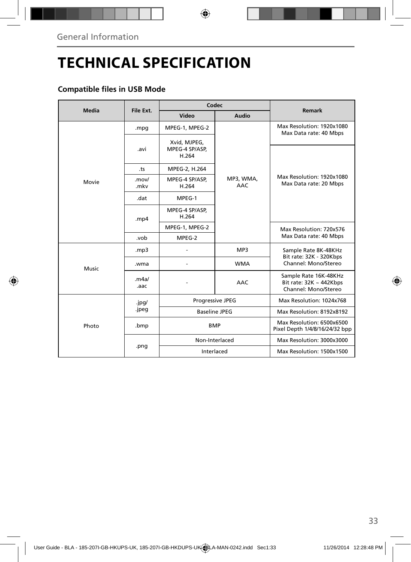# **TECHNICAL SPECIFICATION**

### **Compatible files in USB Mode**

| Media | File Ext.      | Codec                                   |                         | Remark                                                                        |
|-------|----------------|-----------------------------------------|-------------------------|-------------------------------------------------------------------------------|
|       |                | Video                                   | Audio                   |                                                                               |
| Movie | .mpg           | MPEG-1, MPEG-2                          |                         | Max Resolution: 1920x1080<br>Max Data rate: 40 Mbps                           |
|       | .avi           | Xvid, MJPEG,<br>MPEG-4 SP/ASP.<br>H.264 | MP3, WMA,<br><b>AAC</b> |                                                                               |
|       | .ts            | MPEG-2, H.264                           |                         |                                                                               |
|       | .mov/<br>.mkv  | MPEG-4 SP/ASP,<br>H.264                 |                         | Max Resolution: 1920x1080<br>Max Data rate: 20 Mbps                           |
|       | .dat           | MPEG-1                                  |                         |                                                                               |
|       | mp4            | MPEG-4 SP/ASP,<br>H.264                 |                         |                                                                               |
|       |                | MPEG-1, MPEG-2                          |                         | Max Resolution: 720x576<br>Max Data rate: 40 Mbps                             |
|       | .vob           | MPEG-2                                  |                         |                                                                               |
| Music | mp3.           |                                         | MP3                     | Sample Rate 8K-48KHz<br>Bit rate: 32K - 320Kbps<br>Channel: Mono/Stereo       |
|       | .wma           |                                         | <b>WMA</b>              |                                                                               |
|       | .m4a/<br>.aac  |                                         | AAC                     | Sample Rate 16K-48KHz<br>Bit rate: $32K \sim 442Kbps$<br>Channel: Mono/Stereo |
| Photo | .jpg/<br>.jpeg | Progressive JPEG                        |                         | Max Resolution: 1024x768                                                      |
|       |                | <b>Baseline JPEG</b>                    |                         | Max Resolution: 8192x8192                                                     |
|       | .bmp           | <b>BMP</b>                              |                         | Max Resolution: 6500x6500<br>Pixel Depth 1/4/8/16/24/32 bpp                   |
|       | .png           | Non-Interlaced                          |                         | Max Resolution: 3000x3000                                                     |
|       |                | Interlaced                              |                         | Max Resolution: 1500x1500                                                     |